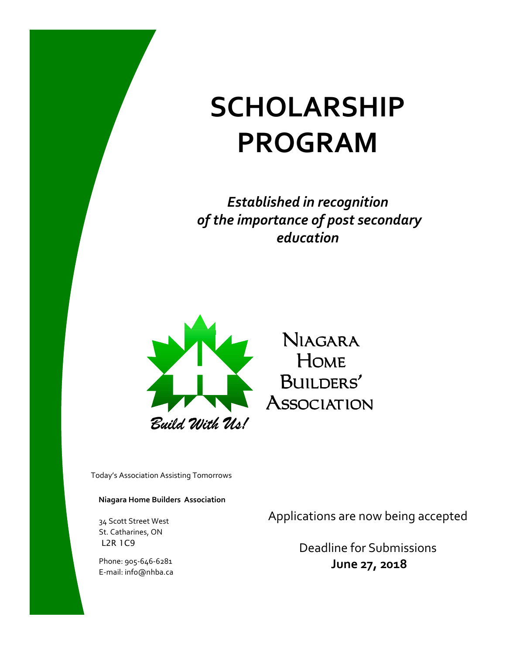# **SCHOLARSHIP PROGRAM**

*Established in recognition of the importance of post secondary education* 



Today's Association Assisting Tomorrows

#### **Niagara Home Builders Association**

34 Scott Street West St. Catharines, ON L2R 1C9

Phone: 905-646-6281 E-mail: info@nhba.ca Applications are now being accepted

Deadline for Submissions **June 27, 2018**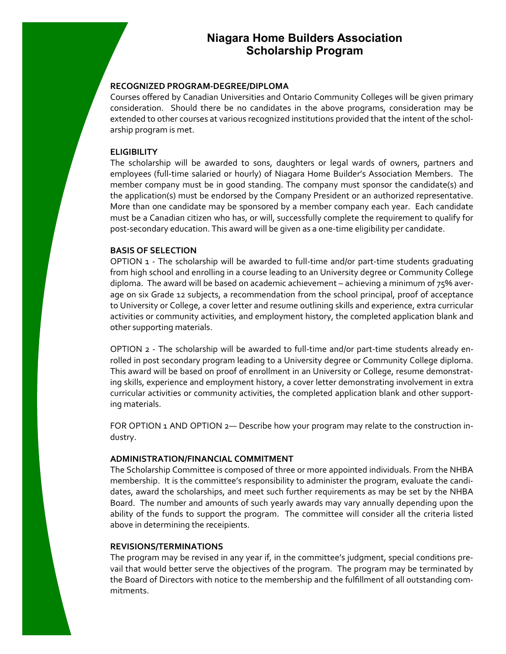## **Niagara Home Builders Association Scholarship Program**

#### **RECOGNIZED PROGRAM-DEGREE/DIPLOMA**

Courses offered by Canadian Universities and Ontario Community Colleges will be given primary consideration. Should there be no candidates in the above programs, consideration may be extended to other courses at various recognized institutions provided that the intent of the scholarship program is met.

#### **ELIGIBILITY**

The scholarship will be awarded to sons, daughters or legal wards of owners, partners and employees (full-time salaried or hourly) of Niagara Home Builder's Association Members. The member company must be in good standing. The company must sponsor the candidate(s) and the application(s) must be endorsed by the Company President or an authorized representative. More than one candidate may be sponsored by a member company each year. Each candidate must be a Canadian citizen who has, or will, successfully complete the requirement to qualify for post-secondary education. This award will be given as a one-time eligibility per candidate.

### **BASIS OF SELECTION**

OPTION 1 - The scholarship will be awarded to full-time and/or part-time students graduating from high school and enrolling in a course leading to an University degree or Community College diploma. The award will be based on academic achievement – achieving a minimum of 75% average on six Grade 12 subjects, a recommendation from the school principal, proof of acceptance to University or College, a cover letter and resume outlining skills and experience, extra curricular activities or community activities, and employment history, the completed application blank and other supporting materials.

OPTION 2 - The scholarship will be awarded to full-time and/or part-time students already enrolled in post secondary program leading to a University degree or Community College diploma. This award will be based on proof of enrollment in an University or College, resume demonstrating skills, experience and employment history, a cover letter demonstrating involvement in extra curricular activities or community activities, the completed application blank and other supporting materials.

FOR OPTION 1 AND OPTION 2— Describe how your program may relate to the construction industry.

#### **ADMINISTRATION/FINANCIAL COMMITMENT**

The Scholarship Committee is composed of three or more appointed individuals. From the NHBA membership. It is the committee's responsibility to administer the program, evaluate the candidates, award the scholarships, and meet such further requirements as may be set by the NHBA Board. The number and amounts of such yearly awards may vary annually depending upon the ability of the funds to support the program. The committee will consider all the criteria listed above in determining the receipients.

#### **REVISIONS/TERMINATIONS**

The program may be revised in any year if, in the committee's judgment, special conditions prevail that would better serve the objectives of the program. The program may be terminated by the Board of Directors with notice to the membership and the fulfillment of all outstanding commitments.